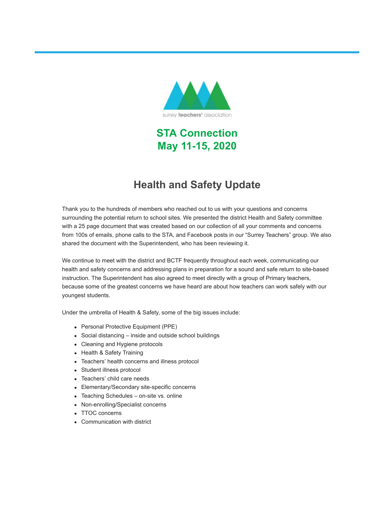

**STA Connection May 11-15, 2020**

### **Health and Safety Update**

Thank you to the hundreds of members who reached out to us with your questions and concerns surrounding the potential return to school sites. We presented the district Health and Safety committee with a 25 page document that was created based on our collection of all your comments and concerns from 100s of emails, phone calls to the STA, and Facebook posts in our "Surrey Teachers" group. We also shared the document with the Superintendent, who has been reviewing it.

We continue to meet with the district and BCTF frequently throughout each week, communicating our health and safety concerns and addressing plans in preparation for a sound and safe return to site-based instruction. The Superintendent has also agreed to meet directly with a group of Primary teachers, because some of the greatest concerns we have heard are about how teachers can work safely with our youngest students.

Under the umbrella of Health & Safety, some of the big issues include:

- Personal Protective Equipment (PPE)
- Social distancing inside and outside school buildings
- Cleaning and Hygiene protocols
- Health & Safety Training
- Teachers' health concerns and illness protocol
- Student illness protocol
- Teachers' child care needs
- Elementary/Secondary site-specific concerns
- Teaching Schedules on-site vs. online
- Non-enrolling/Specialist concerns
- TTOC concerns
- Communication with district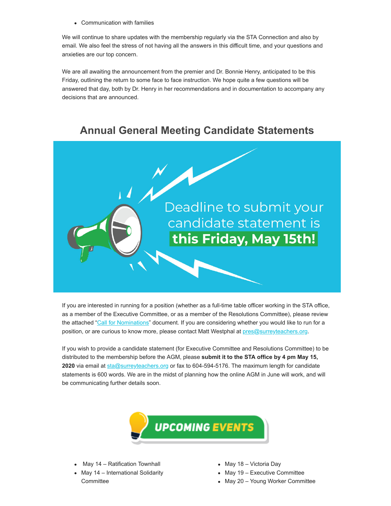Communication with families

We will continue to share updates with the membership regularly via the STA Connection and also by email. We also feel the stress of not having all the answers in this difficult time, and your questions and anxieties are our top concern.

We are all awaiting the announcement from the premier and Dr. Bonnie Henry, anticipated to be this Friday, outlining the return to some face to face instruction. We hope quite a few questions will be answered that day, both by Dr. Henry in her recommendations and in documentation to accompany any decisions that are announced.

#### **Annual General Meeting Candidate Statements**



If you are interested in running for a position (whether as a full-time table officer working in the STA office, as a member of the Executive Committee, or as a member of the Resolutions Committee), please review the attached ["Call for Nominations](https://surreyteachers.us20.list-manage.com/track/click?u=37ec644ae87e34b54b3912660&id=d3731e20c5&e=7261da6bdb)" document. If you are considering whether you would like to run for a position, or are curious to know more, please contact Matt Westphal at [pres@surreyteachers.org.](mailto:pres@surreyteachers.org)

If you wish to provide a candidate statement (for Executive Committee and Resolutions Committee) to be distributed to the membership before the AGM, please **submit it to the STA office by 4 pm May 15,** 2020 via email at [sta@surreyteachers.org](mailto:sta@surreyteachers.org) or fax to 604-594-5176. The maximum length for candidate statements is 600 words. We are in the midst of planning how the online AGM in June will work, and will be communicating further details soon.



- May 14 Ratification Townhall
- May 14 International Solidarity **Committee**
- May 18 Victoria Day
- May 19 Executive Committee
- May 20 Young Worker Committee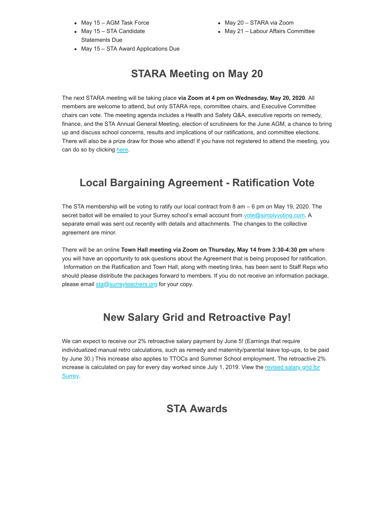- May 15 AGM Task Force
- May 15 STA Candidate Statements Due
- May 20 STARA via Zoom
- May 21 Labour Affairs Committee
- May 15 STA Award Applications Due

# **STARA Meeting on May 20**

The next STARA meeting will be taking place **via Zoom at 4 pm on Wednesday, May 20, 2020**. All members are welcome to attend, but only STARA reps, committee chairs, and Executive Committee chairs can vote. The meeting agenda includes a Health and Safety Q&A, executive reports on remedy, finance, and the STA Annual General Meeting, election of scrutineers for the June AGM, a chance to bring up and discuss school concerns, results and implications of our ratifications, and committee elections. There will also be a prize draw for those who attend! If you have not registered to attend the meeting, you can do so by clicking [here.](https://surreyteachers.us20.list-manage.com/track/click?u=37ec644ae87e34b54b3912660&id=5b138eb7e0&e=7261da6bdb)

## **Local Bargaining Agreement - Ratification Vote**

The STA membership will be voting to ratify our local contract from 8 am – 6 pm on May 19, 2020. The secret ballot will be emailed to your Surrey school's email account from [vote@simplyvoting.com.](mailto:vote@simplyvoting.com) A separate email was sent out recently with details and attachments. The changes to the collective agreement are minor.

There will be an online **Town Hall meeting via Zoom on Thursday, May 14 from 3:30-4:30 pm** where you will have an opportunity to ask questions about the Agreement that is being proposed for ratification. Information on the Ratification and Town Hall, along with meeting links, has been sent to Staff Reps who should please distribute the packages forward to members. If you do not receive an information package, please email [sta@surreyteachers.org](mailto:sta@surreyteachers.org) for your copy.

### **New Salary Grid and Retroactive Pay!**

We can expect to receive our 2% retroactive salary payment by June 5! (Earnings that require individualized manual retro calculations, such as remedy and maternity/parental leave top-ups, to be paid by June 30.) This increase also applies to TTOCs and Summer School employment. The retroactive 2% [increase is calculated on pay for every day worked since July 1, 2019. View the revised salary grid for](https://surreyteachers.us20.list-manage.com/track/click?u=37ec644ae87e34b54b3912660&id=b4acfc26a4&e=7261da6bdb) Surrey.

### **STA Awards**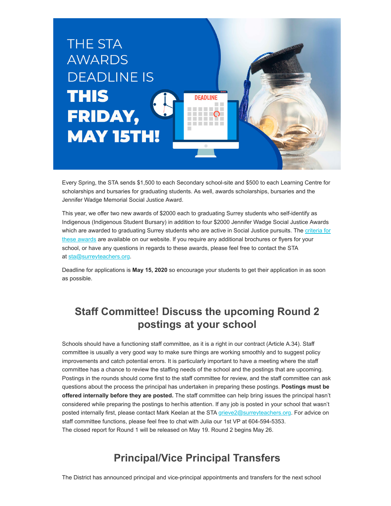

Every Spring, the STA sends \$1,500 to each Secondary school-site and \$500 to each Learning Centre for scholarships and bursaries for graduating students. As well, awards scholarships, bursaries and the Jennifer Wadge Memorial Social Justice Award.

This year, we offer two new awards of \$2000 each to graduating Surrey students who self-identify as Indigenous (Indigenous Student Bursary) in addition to four \$2000 Jennifer Wadge Social Justice Awards [which are awarded to graduating Surrey students who are active in Social Justice pursuits. The criteria for](https://surreyteachers.us20.list-manage.com/track/click?u=37ec644ae87e34b54b3912660&id=42519ec69e&e=7261da6bdb) these awards are available on our website. If you require any additional brochures or flyers for your school, or have any questions in regards to these awards, please feel free to contact the STA at [sta@surreyteachers.org.](mailto:sta@surreyteachers.org)

Deadline for applications is **May 15, 2020** so encourage your students to get their application in as soon as possible.

## **Staff Committee! Discuss the upcoming Round 2 postings at your school**

Schools should have a functioning staff committee, as it is a right in our contract (Article A.34). Staff committee is usually a very good way to make sure things are working smoothly and to suggest policy improvements and catch potential errors. It is particularly important to have a meeting where the staff committee has a chance to review the staffing needs of the school and the postings that are upcoming. Postings in the rounds should come first to the staff committee for review, and the staff committee can ask questions about the process the principal has undertaken in preparing these postings. **Postings must be offered internally before they are posted.** The staff committee can help bring issues the principal hasn't considered while preparing the postings to her/his attention. If any job is posted in your school that wasn't posted internally first, please contact Mark Keelan at the STA grieve 2@surreyteachers.org. For advice on staff committee functions, please feel free to chat with Julia our 1st VP at 604-594-5353. The closed report for Round 1 will be released on May 19. Round 2 begins May 26.

### **Principal/Vice Principal Transfers**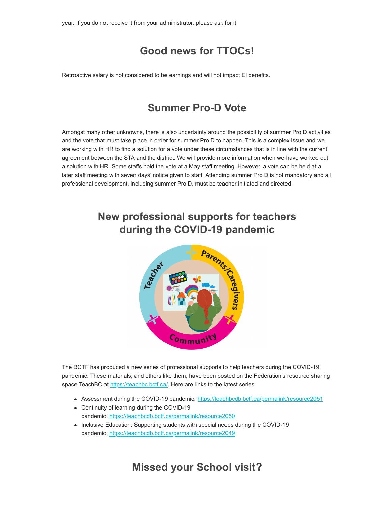year. If you do not receive it from your administrator, please ask for it.

## **Good news for TTOCs!**

Retroactive salary is not considered to be earnings and will not impact EI benefits.

# **Summer Pro-D Vote**

Amongst many other unknowns, there is also uncertainty around the possibility of summer Pro D activities and the vote that must take place in order for summer Pro D to happen. This is a complex issue and we are working with HR to find a solution for a vote under these circumstances that is in line with the current agreement between the STA and the district. We will provide more information when we have worked out a solution with HR. Some staffs hold the vote at a May staff meeting. However, a vote can be held at a later staff meeting with seven days' notice given to staff. Attending summer Pro D is not mandatory and all professional development, including summer Pro D, must be teacher initiated and directed.

# **New professional supports for teachers during the COVID-19 pandemic**



The BCTF has produced a new series of professional supports to help teachers during the COVID-19 pandemic. These materials, and others like them, have been posted on the Federation's resource sharing space TeachBC at [https://teachbc.bctf.ca/.](https://surreyteachers.us20.list-manage.com/track/click?u=37ec644ae87e34b54b3912660&id=21614f1623&e=7261da6bdb) Here are links to the latest series.

- Assessment during the COVID-19 pandemic: [https://teachbcdb.bctf.ca/permalink/resource2051](https://surreyteachers.us20.list-manage.com/track/click?u=37ec644ae87e34b54b3912660&id=d633b8945f&e=7261da6bdb)
- Continuity of learning during the COVID-19 pandemic: [https://teachbcdb.bctf.ca/permalink/resource2050](https://surreyteachers.us20.list-manage.com/track/click?u=37ec644ae87e34b54b3912660&id=76ed4eeae1&e=7261da6bdb)
- Inclusive Education: Supporting students with special needs during the COVID-19 pandemic: [https://teachbcdb.bctf.ca/permalink/resource2049](https://surreyteachers.us20.list-manage.com/track/click?u=37ec644ae87e34b54b3912660&id=e02a6e4349&e=7261da6bdb)

**Missed your School visit?**